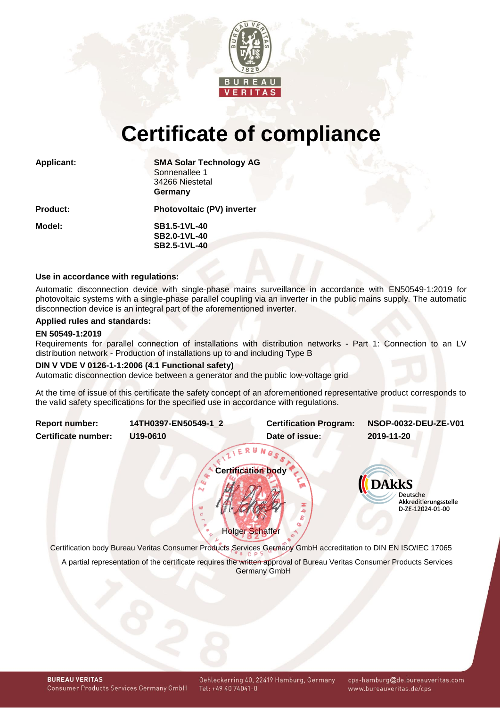

# **Certificate of compliance**

| <b>Applicant:</b> | <b>SMA Solar Technology AG</b><br>Sonnenallee 1<br>34266 Niestetal<br>Germany |  |  |
|-------------------|-------------------------------------------------------------------------------|--|--|
| <b>Product:</b>   | <b>Photovoltaic (PV) inverter</b>                                             |  |  |
| Model:            | <b>SB1.5-1VL-40</b><br><b>SB2.0-1VL-40</b><br><b>SB2.5-1VL-40</b>             |  |  |
|                   |                                                                               |  |  |

#### **Use in accordance with regulations:**

Automatic disconnection device with single-phase mains surveillance in accordance with EN50549-1:2019 for photovoltaic systems with a single-phase parallel coupling via an inverter in the public mains supply. The automatic disconnection device is an integral part of the aforementioned inverter.

#### **Applied rules and standards:**

#### **EN 50549-1:2019**

Requirements for parallel connection of installations with distribution networks - Part 1: Connection to an LV distribution network - Production of installations up to and including Type B

#### **DIN V VDE V 0126-1-1:2006 (4.1 Functional safety)**

Automatic disconnection device between a generator and the public low-voltage grid

At the time of issue of this certificate the safety concept of an aforementioned representative product corresponds to the valid safety specifications for the specified use in accordance with regulations.

<span id="page-0-1"></span><span id="page-0-0"></span>

| <b>Report number:</b>      | 14TH0397-EN50549-1 2                                                                                            | <b>Certification Program:</b> | NSOP-0032-DEU-ZE-V01                                         |
|----------------------------|-----------------------------------------------------------------------------------------------------------------|-------------------------------|--------------------------------------------------------------|
| <b>Certificate number:</b> | U19-0610                                                                                                        | Date of issue:                | 2019-11-20                                                   |
|                            |                                                                                                                 | <b>Certification body</b>     | <b>DAkkS</b>                                                 |
|                            | N<br>65                                                                                                         | <b>Holger Schaffer</b>        | <b>Deutsche</b><br>Akkreditierungsstelle<br>D-ZE-12024-01-00 |
|                            | Certification body Bureau Veritas Consumer Products Services Germany GmbH accreditation to DIN EN ISO/IEC 17065 |                               |                                                              |

A partial representation of the certificate requires the written approval of Bureau Veritas Consumer Products Services Germany GmbH

cps-hamburg@de.bureauveritas.com www.bureauveritas.de/cps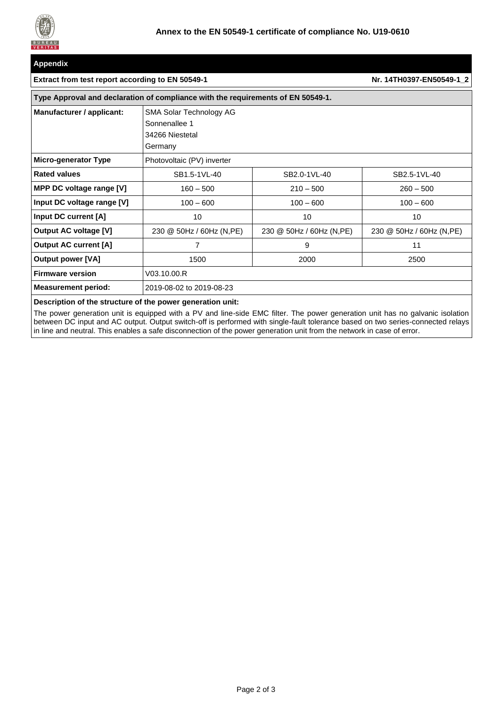

## **Appendix**

#### **Extract from test report according to EN 50549-1 Nr[. 14TH0397-EN50549-1\\_2](#page-0-1)**

| Type Approval and declaration of compliance with the requirements of EN 50549-1. |                                                                        |                           |                           |  |  |  |  |
|----------------------------------------------------------------------------------|------------------------------------------------------------------------|---------------------------|---------------------------|--|--|--|--|
| Manufacturer / applicant:                                                        | SMA Solar Technology AG<br>Sonnenallee 1<br>34266 Niestetal<br>Germany |                           |                           |  |  |  |  |
| <b>Micro-generator Type</b>                                                      | Photovoltaic (PV) inverter                                             |                           |                           |  |  |  |  |
| <b>Rated values</b>                                                              | SB1.5-1VL-40                                                           | SB2.0-1VL-40              | SB2.5-1VL-40              |  |  |  |  |
| MPP DC voltage range [V]                                                         | $160 - 500$                                                            | $210 - 500$               | $260 - 500$               |  |  |  |  |
| Input DC voltage range [V]                                                       | $100 - 600$                                                            | $100 - 600$               | $100 - 600$               |  |  |  |  |
| Input DC current [A]                                                             | 10                                                                     | 10                        | 10                        |  |  |  |  |
| <b>Output AC voltage [V]</b>                                                     | 230 @ 50Hz / 60Hz (N, PE)                                              | 230 @ 50Hz / 60Hz (N, PE) | 230 @ 50Hz / 60Hz (N, PE) |  |  |  |  |
| <b>Output AC current [A]</b>                                                     | 7                                                                      | 9                         | 11                        |  |  |  |  |
| <b>Output power [VA]</b>                                                         | 1500                                                                   | 2000                      | 2500                      |  |  |  |  |
| <b>Firmware version</b>                                                          | V03.10.00.R                                                            |                           |                           |  |  |  |  |
| <b>Measurement period:</b>                                                       | 2019-08-02 to 2019-08-23                                               |                           |                           |  |  |  |  |

### **Description of the structure of the power generation unit:**

The power generation unit is equipped with a PV and line-side EMC filter. The power generation unit has no galvanic isolation between DC input and AC output. Output switch-off is performed with single-fault tolerance based on two series-connected relays in line and neutral. This enables a safe disconnection of the power generation unit from the network in case of error.